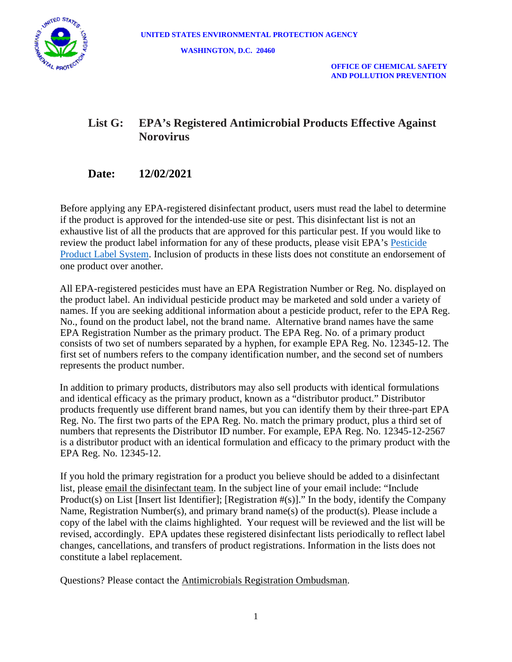

 **OFFICE OF CHEMICAL SAFETY AND POLLUTION PREVENTION**

# **List G: EPA's Registered Antimicrobial Products Effective Against Norovirus**

# **Date: 12/02/2021**

Before applying any EPA-registered disinfectant product, users must read the label to determine if the product is approved for the intended-use site or pest. This disinfectant list is not an exhaustive list of all the products that are approved for this particular pest. If you would like to review the product label information for any of these products, please visit EPA's [Pesticide](https://www.epa.gov/ingredients-used-pesticide-products/how-search-information-about-pesticide-ingredients-and-labels#PPLS)  [Product Label System.](https://www.epa.gov/ingredients-used-pesticide-products/how-search-information-about-pesticide-ingredients-and-labels#PPLS) Inclusion of products in these lists does not constitute an endorsement of one product over another.

All EPA-registered pesticides must have an EPA Registration Number or Reg. No. displayed on the product label. An individual pesticide product may be marketed and sold under a variety of names. If you are seeking additional information about a pesticide product, refer to the EPA Reg. No., found on the product label, not the brand name. Alternative brand names have the same EPA Registration Number as the primary product. The EPA Reg. No. of a primary product consists of two set of numbers separated by a hyphen, for example EPA Reg. No. 12345-12. The first set of numbers refers to the company identification number, and the second set of numbers represents the product number.

In addition to primary products, distributors may also sell products with identical formulations and identical efficacy as the primary product, known as a "distributor product." Distributor products frequently use different brand names, but you can identify them by their three-part EPA Reg. No. The first two parts of the EPA Reg. No. match the primary product, plus a third set of numbers that represents the Distributor ID number. For example, EPA Reg. No. 12345-12-2567 is a distributor product with an identical formulation and efficacy to the primary product with the EPA Reg. No. 12345-12.

If you hold the primary registration for a product you believe should be added to a disinfectant list, please [email the disinfectant team.](mailto:disinfectantslist@epa.gov) In the subject line of your email include: "Include Product(s) on List [Insert list Identifier]; [Registration #(s)]." In the body, identify the Company Name, Registration Number(s), and primary brand name(s) of the product(s). Please include a copy of the label with the claims highlighted. Your request will be reviewed and the list will be revised, accordingly. EPA updates these registered disinfectant lists periodically to reflect label changes, cancellations, and transfers of product registrations. Information in the lists does not constitute a label replacement.

Questions? Please contact the [Antimicrobials Registration Ombudsman.](mailto:opp_ad_ombudsman@epa.gov)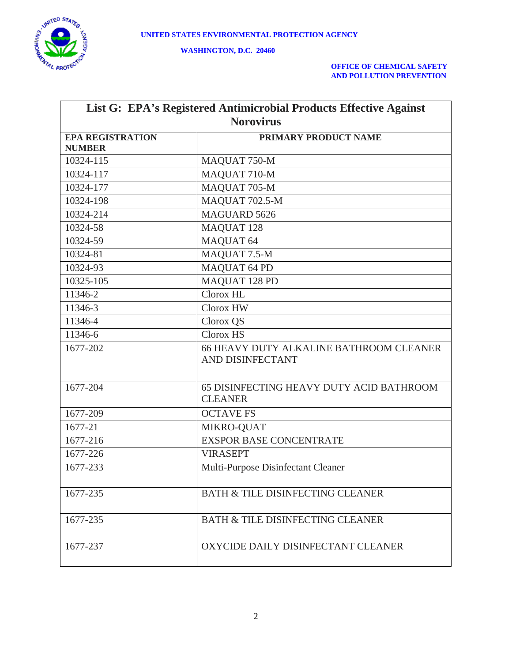

| List G: EPA's Registered Antimicrobial Products Effective Against |                                                |  |
|-------------------------------------------------------------------|------------------------------------------------|--|
| <b>Norovirus</b>                                                  |                                                |  |
| <b>EPA REGISTRATION</b>                                           | PRIMARY PRODUCT NAME                           |  |
| <b>NUMBER</b>                                                     |                                                |  |
| 10324-115                                                         | MAQUAT 750-M                                   |  |
| 10324-117                                                         | MAQUAT 710-M                                   |  |
| 10324-177                                                         | MAQUAT 705-M                                   |  |
| 10324-198                                                         | MAQUAT 702.5-M                                 |  |
| 10324-214                                                         | <b>MAGUARD 5626</b>                            |  |
| 10324-58                                                          | MAQUAT 128                                     |  |
| 10324-59                                                          | MAQUAT 64                                      |  |
| 10324-81                                                          | MAQUAT 7.5-M                                   |  |
| 10324-93                                                          | <b>MAQUAT 64 PD</b>                            |  |
| 10325-105                                                         | MAQUAT 128 PD                                  |  |
| 11346-2                                                           | Clorox HL                                      |  |
| 11346-3                                                           | Clorox HW                                      |  |
| 11346-4                                                           | Clorox QS                                      |  |
| 11346-6                                                           | Clorox HS                                      |  |
| 1677-202                                                          | <b>66 HEAVY DUTY ALKALINE BATHROOM CLEANER</b> |  |
|                                                                   | AND DISINFECTANT                               |  |
| 1677-204                                                          | 65 DISINFECTING HEAVY DUTY ACID BATHROOM       |  |
|                                                                   | <b>CLEANER</b>                                 |  |
| 1677-209                                                          | <b>OCTAVE FS</b>                               |  |
| 1677-21                                                           | MIKRO-QUAT                                     |  |
| 1677-216                                                          | <b>EXSPOR BASE CONCENTRATE</b>                 |  |
| 1677-226                                                          | <b>VIRASEPT</b>                                |  |
| 1677-233                                                          | Multi-Purpose Disinfectant Cleaner             |  |
| 1677-235                                                          | <b>BATH &amp; TILE DISINFECTING CLEANER</b>    |  |
| 1677-235                                                          | <b>BATH &amp; TILE DISINFECTING CLEANER</b>    |  |
| 1677-237                                                          | OXYCIDE DAILY DISINFECTANT CLEANER             |  |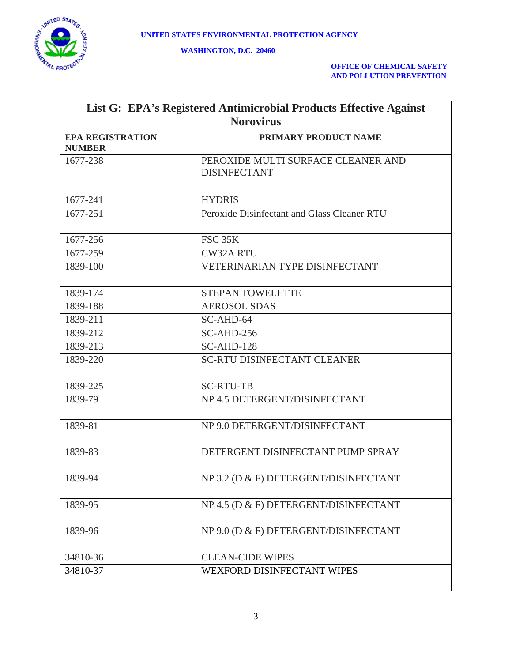

| List G: EPA's Registered Antimicrobial Products Effective Against |                                                           |  |
|-------------------------------------------------------------------|-----------------------------------------------------------|--|
| <b>Norovirus</b>                                                  |                                                           |  |
| <b>EPA REGISTRATION</b><br><b>NUMBER</b>                          | PRIMARY PRODUCT NAME                                      |  |
| 1677-238                                                          | PEROXIDE MULTI SURFACE CLEANER AND<br><b>DISINFECTANT</b> |  |
| 1677-241                                                          | <b>HYDRIS</b>                                             |  |
| 1677-251                                                          | Peroxide Disinfectant and Glass Cleaner RTU               |  |
| 1677-256                                                          | <b>FSC 35K</b>                                            |  |
| 1677-259                                                          | <b>CW32A RTU</b>                                          |  |
| 1839-100                                                          | <b>VETERINARIAN TYPE DISINFECTANT</b>                     |  |
| 1839-174                                                          | <b>STEPAN TOWELETTE</b>                                   |  |
| 1839-188                                                          | <b>AEROSOL SDAS</b>                                       |  |
| 1839-211                                                          | SC-AHD-64                                                 |  |
| 1839-212                                                          | $SC-AHD-256$                                              |  |
| 1839-213                                                          | $SC-AHD-128$                                              |  |
| 1839-220                                                          | <b>SC-RTU DISINFECTANT CLEANER</b>                        |  |
| 1839-225                                                          | <b>SC-RTU-TB</b>                                          |  |
| 1839-79                                                           | NP 4.5 DETERGENT/DISINFECTANT                             |  |
| 1839-81                                                           | NP 9.0 DETERGENT/DISINFECTANT                             |  |
| 1839-83                                                           | DETERGENT DISINFECTANT PUMP SPRAY                         |  |
| 1839-94                                                           | NP 3.2 (D & F) DETERGENT/DISINFECTANT                     |  |
| 1839-95                                                           | NP 4.5 (D & F) DETERGENT/DISINFECTANT                     |  |
| 1839-96                                                           | NP 9.0 (D & F) DETERGENT/DISINFECTANT                     |  |
| 34810-36                                                          | <b>CLEAN-CIDE WIPES</b>                                   |  |
| 34810-37                                                          | WEXFORD DISINFECTANT WIPES                                |  |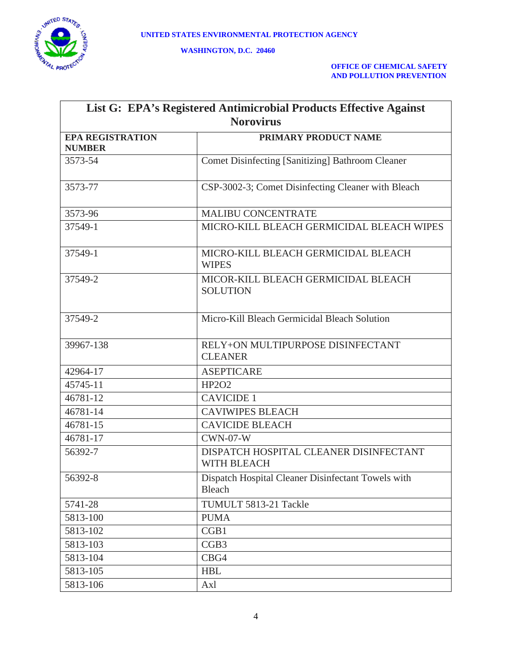

| List G: EPA's Registered Antimicrobial Products Effective Against |                                                                     |  |
|-------------------------------------------------------------------|---------------------------------------------------------------------|--|
| <b>Norovirus</b>                                                  |                                                                     |  |
| <b>EPA REGISTRATION</b><br><b>NUMBER</b>                          | PRIMARY PRODUCT NAME                                                |  |
| 3573-54                                                           | <b>Comet Disinfecting [Sanitizing] Bathroom Cleaner</b>             |  |
| 3573-77                                                           | CSP-3002-3; Comet Disinfecting Cleaner with Bleach                  |  |
| 3573-96                                                           | <b>MALIBU CONCENTRATE</b>                                           |  |
| 37549-1                                                           | MICRO-KILL BLEACH GERMICIDAL BLEACH WIPES                           |  |
| 37549-1                                                           | MICRO-KILL BLEACH GERMICIDAL BLEACH<br><b>WIPES</b>                 |  |
| 37549-2                                                           | MICOR-KILL BLEACH GERMICIDAL BLEACH<br><b>SOLUTION</b>              |  |
| 37549-2                                                           | Micro-Kill Bleach Germicidal Bleach Solution                        |  |
| 39967-138                                                         | RELY+ON MULTIPURPOSE DISINFECTANT<br><b>CLEANER</b>                 |  |
| 42964-17                                                          | <b>ASEPTICARE</b>                                                   |  |
| 45745-11                                                          | <b>HP2O2</b>                                                        |  |
| 46781-12                                                          | <b>CAVICIDE 1</b>                                                   |  |
| 46781-14                                                          | <b>CAVIWIPES BLEACH</b>                                             |  |
| 46781-15                                                          | <b>CAVICIDE BLEACH</b>                                              |  |
| 46781-17                                                          | $CWN-07-W$                                                          |  |
| 56392-7                                                           | DISPATCH HOSPITAL CLEANER DISINFECTANT<br>WITH BLEACH               |  |
| 56392-8                                                           | Dispatch Hospital Cleaner Disinfectant Towels with<br><b>Bleach</b> |  |
| 5741-28                                                           | TUMULT 5813-21 Tackle                                               |  |
| 5813-100                                                          | <b>PUMA</b>                                                         |  |
| 5813-102                                                          | CGB1                                                                |  |
| 5813-103                                                          | CGB <sub>3</sub>                                                    |  |
| 5813-104                                                          | CBG4                                                                |  |
| 5813-105                                                          | <b>HBL</b>                                                          |  |
| 5813-106                                                          | Axl                                                                 |  |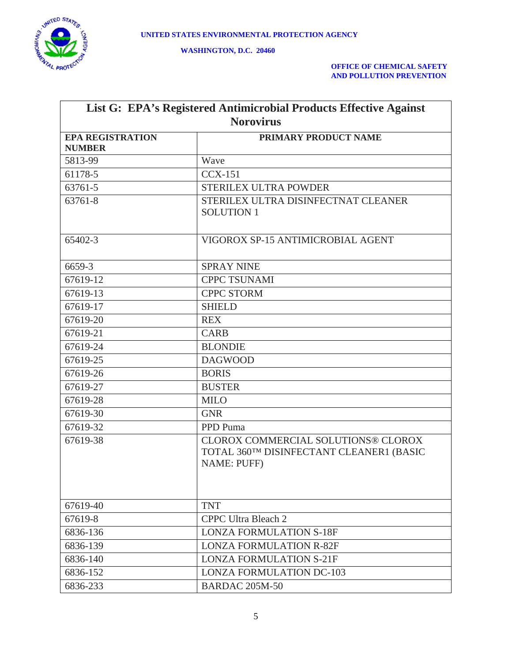

| List G: EPA's Registered Antimicrobial Products Effective Against |                                                                                                       |  |
|-------------------------------------------------------------------|-------------------------------------------------------------------------------------------------------|--|
| <b>Norovirus</b>                                                  |                                                                                                       |  |
| <b>EPA REGISTRATION</b><br><b>NUMBER</b>                          | PRIMARY PRODUCT NAME                                                                                  |  |
| 5813-99                                                           | Wave                                                                                                  |  |
| 61178-5                                                           | $CCX-151$                                                                                             |  |
| 63761-5                                                           | <b>STERILEX ULTRA POWDER</b>                                                                          |  |
| 63761-8                                                           | STERILEX ULTRA DISINFECTNAT CLEANER<br><b>SOLUTION 1</b>                                              |  |
| 65402-3                                                           | VIGOROX SP-15 ANTIMICROBIAL AGENT                                                                     |  |
| 6659-3                                                            | <b>SPRAY NINE</b>                                                                                     |  |
| 67619-12                                                          | <b>CPPC TSUNAMI</b>                                                                                   |  |
| 67619-13                                                          | <b>CPPC STORM</b>                                                                                     |  |
| 67619-17                                                          | <b>SHIELD</b>                                                                                         |  |
| 67619-20                                                          | <b>REX</b>                                                                                            |  |
| 67619-21                                                          | <b>CARB</b>                                                                                           |  |
| 67619-24                                                          | <b>BLONDIE</b>                                                                                        |  |
| 67619-25                                                          | <b>DAGWOOD</b>                                                                                        |  |
| 67619-26                                                          | <b>BORIS</b>                                                                                          |  |
| 67619-27                                                          | <b>BUSTER</b>                                                                                         |  |
| 67619-28                                                          | <b>MILO</b>                                                                                           |  |
| 67619-30                                                          | <b>GNR</b>                                                                                            |  |
| 67619-32                                                          | PPD Puma                                                                                              |  |
| 67619-38                                                          | CLOROX COMMERCIAL SOLUTIONS® CLOROX<br>TOTAL 360TM DISINFECTANT CLEANER1 (BASIC<br><b>NAME: PUFF)</b> |  |
| 67619-40                                                          | <b>TNT</b>                                                                                            |  |
| 67619-8                                                           | <b>CPPC Ultra Bleach 2</b>                                                                            |  |
| 6836-136                                                          | <b>LONZA FORMULATION S-18F</b>                                                                        |  |
| 6836-139                                                          | <b>LONZA FORMULATION R-82F</b>                                                                        |  |
| 6836-140                                                          | <b>LONZA FORMULATION S-21F</b>                                                                        |  |
| 6836-152                                                          | <b>LONZA FORMULATION DC-103</b>                                                                       |  |
| 6836-233                                                          | <b>BARDAC 205M-50</b>                                                                                 |  |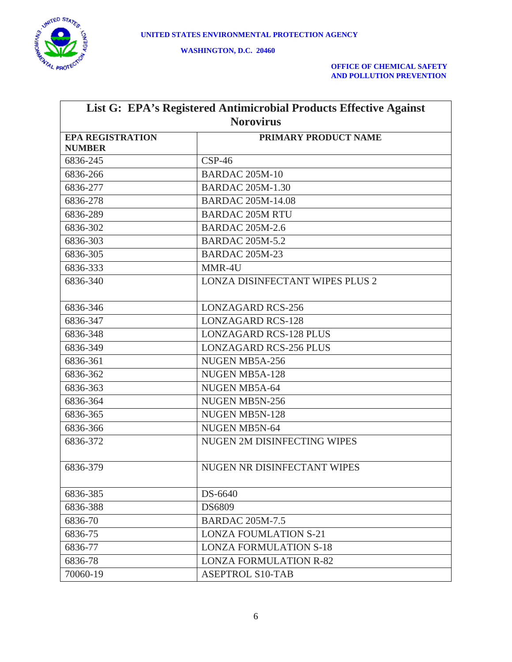

| List G: EPA's Registered Antimicrobial Products Effective Against |                                        |  |
|-------------------------------------------------------------------|----------------------------------------|--|
| <b>Norovirus</b>                                                  |                                        |  |
| <b>EPA REGISTRATION</b>                                           | PRIMARY PRODUCT NAME                   |  |
| <b>NUMBER</b>                                                     |                                        |  |
| 6836-245                                                          | $CSP-46$                               |  |
| 6836-266                                                          | <b>BARDAC 205M-10</b>                  |  |
| 6836-277                                                          | <b>BARDAC 205M-1.30</b>                |  |
| 6836-278                                                          | <b>BARDAC 205M-14.08</b>               |  |
| 6836-289                                                          | <b>BARDAC 205M RTU</b>                 |  |
| 6836-302                                                          | <b>BARDAC 205M-2.6</b>                 |  |
| 6836-303                                                          | <b>BARDAC 205M-5.2</b>                 |  |
| 6836-305                                                          | <b>BARDAC 205M-23</b>                  |  |
| 6836-333                                                          | MMR-4U                                 |  |
| 6836-340                                                          | <b>LONZA DISINFECTANT WIPES PLUS 2</b> |  |
|                                                                   |                                        |  |
| 6836-346                                                          | <b>LONZAGARD RCS-256</b>               |  |
| 6836-347                                                          | <b>LONZAGARD RCS-128</b>               |  |
| 6836-348                                                          | <b>LONZAGARD RCS-128 PLUS</b>          |  |
| 6836-349                                                          | <b>LONZAGARD RCS-256 PLUS</b>          |  |
| 6836-361                                                          | NUGEN MB5A-256                         |  |
| 6836-362                                                          | NUGEN MB5A-128                         |  |
| 6836-363                                                          | NUGEN MB5A-64                          |  |
| 6836-364                                                          | NUGEN MB5N-256                         |  |
| 6836-365                                                          | NUGEN MB5N-128                         |  |
| 6836-366                                                          | NUGEN MB5N-64                          |  |
| 6836-372                                                          | <b>NUGEN 2M DISINFECTING WIPES</b>     |  |
|                                                                   |                                        |  |
| 6836-379                                                          | NUGEN NR DISINFECTANT WIPES            |  |
|                                                                   |                                        |  |
| 6836-385                                                          | DS-6640                                |  |
| 6836-388                                                          | <b>DS6809</b>                          |  |
| 6836-70                                                           | <b>BARDAC 205M-7.5</b>                 |  |
| 6836-75                                                           | <b>LONZA FOUMLATION S-21</b>           |  |
| 6836-77                                                           | <b>LONZA FORMULATION S-18</b>          |  |
| 6836-78                                                           | <b>LONZA FORMULATION R-82</b>          |  |
| 70060-19                                                          | <b>ASEPTROL S10-TAB</b>                |  |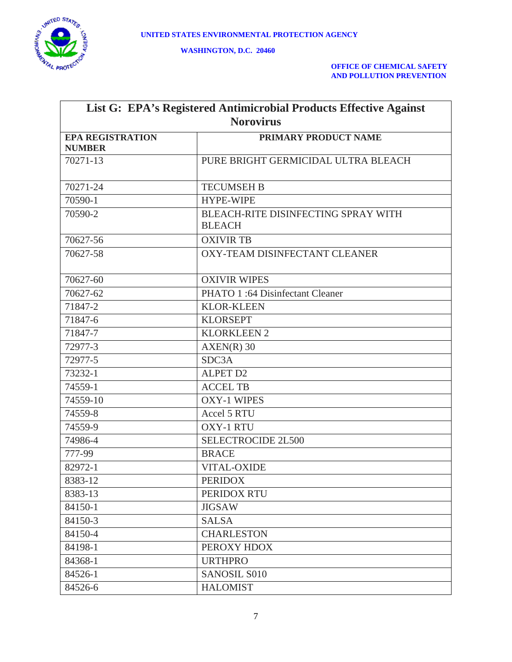

| List G: EPA's Registered Antimicrobial Products Effective Against |                                                      |  |
|-------------------------------------------------------------------|------------------------------------------------------|--|
| <b>Norovirus</b>                                                  |                                                      |  |
| <b>EPA REGISTRATION</b>                                           | PRIMARY PRODUCT NAME                                 |  |
| <b>NUMBER</b>                                                     |                                                      |  |
| 70271-13                                                          | PURE BRIGHT GERMICIDAL ULTRA BLEACH                  |  |
|                                                                   |                                                      |  |
| 70271-24                                                          | <b>TECUMSEH B</b>                                    |  |
| 70590-1                                                           | <b>HYPE-WIPE</b>                                     |  |
| 70590-2                                                           | BLEACH-RITE DISINFECTING SPRAY WITH<br><b>BLEACH</b> |  |
| 70627-56                                                          | <b>OXIVIR TB</b>                                     |  |
| 70627-58                                                          | OXY-TEAM DISINFECTANT CLEANER                        |  |
| 70627-60                                                          | <b>OXIVIR WIPES</b>                                  |  |
| 70627-62                                                          | PHATO 1:64 Disinfectant Cleaner                      |  |
| 71847-2                                                           | <b>KLOR-KLEEN</b>                                    |  |
| 71847-6                                                           | <b>KLORSEPT</b>                                      |  |
| 71847-7                                                           | <b>KLORKLEEN 2</b>                                   |  |
| 72977-3                                                           | $AXEN(R)$ 30                                         |  |
| 72977-5                                                           | SDC3A                                                |  |
| 73232-1                                                           | <b>ALPET D2</b>                                      |  |
| 74559-1                                                           | <b>ACCEL TB</b>                                      |  |
| 74559-10                                                          | <b>OXY-1 WIPES</b>                                   |  |
| 74559-8                                                           | Accel 5 RTU                                          |  |
| 74559-9                                                           | <b>OXY-1 RTU</b>                                     |  |
| 74986-4                                                           | SELECTROCIDE 2L500                                   |  |
| 777-99                                                            | <b>BRACE</b>                                         |  |
| 82972-1                                                           | <b>VITAL-OXIDE</b>                                   |  |
| 8383-12                                                           | <b>PERIDOX</b>                                       |  |
| 8383-13                                                           | PERIDOX RTU                                          |  |
| 84150-1                                                           | <b>JIGSAW</b>                                        |  |
| 84150-3                                                           | <b>SALSA</b>                                         |  |
| 84150-4                                                           | <b>CHARLESTON</b>                                    |  |
| 84198-1                                                           | PEROXY HDOX                                          |  |
| 84368-1                                                           | <b>URTHPRO</b>                                       |  |
| 84526-1                                                           | <b>SANOSIL S010</b>                                  |  |
| 84526-6                                                           | <b>HALOMIST</b>                                      |  |